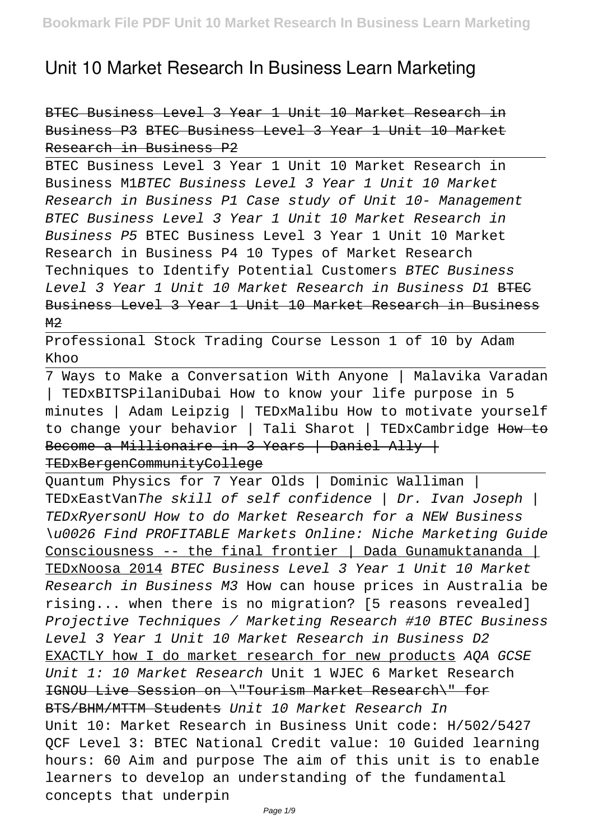## **Unit 10 Market Research In Business Learn Marketing**

BTEC Business Level 3 Year 1 Unit 10 Market Research in Business P3 BTEC Business Level 3 Year 1 Unit 10 Market Research in Business P2

BTEC Business Level 3 Year 1 Unit 10 Market Research in Business M1BTEC Business Level 3 Year 1 Unit 10 Market Research in Business P1 Case study of Unit 10- Management BTEC Business Level 3 Year 1 Unit 10 Market Research in Business P5 BTEC Business Level 3 Year 1 Unit 10 Market Research in Business P4 10 Types of Market Research Techniques to Identify Potential Customers BTEC Business Level 3 Year 1 Unit 10 Market Research in Business D1 BTEC Business Level 3 Year 1 Unit 10 Market Research in Business  $M<sub>2</sub>$ 

Professional Stock Trading Course Lesson 1 of 10 by Adam Khoo

7 Ways to Make a Conversation With Anyone | Malavika Varadan | TEDxBITSPilaniDubai How to know your life purpose in 5 minutes | Adam Leipzig | TEDxMalibu How to motivate yourself to change your behavior | Tali Sharot | TEDxCambridge How to Become a Millionaire in 3 Years | Daniel Ally | TEDxBergenCommunityCollege

Quantum Physics for 7 Year Olds | Dominic Walliman | TEDxEastVanThe skill of self confidence | Dr. Ivan Joseph | TEDxRyersonU How to do Market Research for a NEW Business \u0026 Find PROFITABLE Markets Online: Niche Marketing Guide Consciousness -- the final frontier | Dada Gunamuktananda | TEDxNoosa 2014 BTEC Business Level 3 Year 1 Unit 10 Market Research in Business M3 How can house prices in Australia be rising... when there is no migration? [5 reasons revealed] Projective Techniques / Marketing Research #10 BTEC Business Level 3 Year 1 Unit 10 Market Research in Business D2 EXACTLY how I do market research for new products AQA GCSE Unit 1: 10 Market Research Unit 1 WJEC 6 Market Research IGNOU Live Session on \"Tourism Market Research\" for BTS/BHM/MTTM Students Unit 10 Market Research In Unit 10: Market Research in Business Unit code: H/502/5427 QCF Level 3: BTEC National Credit value: 10 Guided learning hours: 60 Aim and purpose The aim of this unit is to enable learners to develop an understanding of the fundamental concepts that underpin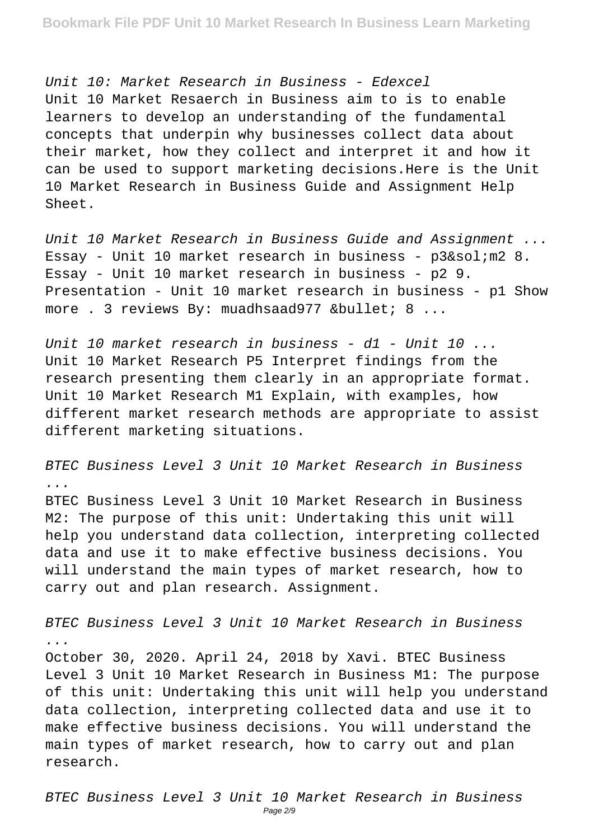Unit 10: Market Research in Business - Edexcel Unit 10 Market Resaerch in Business aim to is to enable learners to develop an understanding of the fundamental concepts that underpin why businesses collect data about their market, how they collect and interpret it and how it can be used to support marketing decisions.Here is the Unit 10 Market Research in Business Guide and Assignment Help Sheet.

Unit 10 Market Research in Business Guide and Assignment ... Essay - Unit 10 market research in business -  $p3/$ ;  $m2$  8. Essay - Unit 10 market research in business - p2 9. Presentation - Unit 10 market research in business - p1 Show more . 3 reviews By: muadhsaad977  $\&$ bullet; 8 ...

Unit 10 market research in business - d1 - Unit 10 ... Unit 10 Market Research P5 Interpret findings from the research presenting them clearly in an appropriate format. Unit 10 Market Research M1 Explain, with examples, how different market research methods are appropriate to assist different marketing situations.

BTEC Business Level 3 Unit 10 Market Research in Business ... BTEC Business Level 3 Unit 10 Market Research in Business M2: The purpose of this unit: Undertaking this unit will help you understand data collection, interpreting collected data and use it to make effective business decisions. You will understand the main types of market research, how to carry out and plan research. Assignment.

BTEC Business Level 3 Unit 10 Market Research in Business ...

October 30, 2020. April 24, 2018 by Xavi. BTEC Business Level 3 Unit 10 Market Research in Business M1: The purpose of this unit: Undertaking this unit will help you understand data collection, interpreting collected data and use it to make effective business decisions. You will understand the main types of market research, how to carry out and plan research.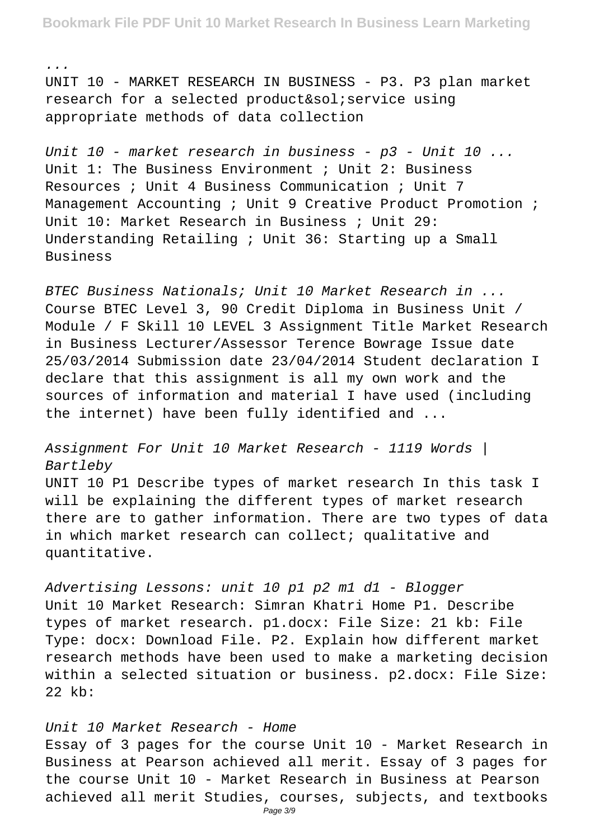**Bookmark File PDF Unit 10 Market Research In Business Learn Marketing**

... UNIT 10 - MARKET RESEARCH IN BUSINESS - P3. P3 plan market research for a selected product/ service using appropriate methods of data collection

Unit 10 - market research in business - p3 - Unit 10 ... Unit 1: The Business Environment ; Unit 2: Business Resources ; Unit 4 Business Communication ; Unit 7 Management Accounting ; Unit 9 Creative Product Promotion ; Unit 10: Market Research in Business ; Unit 29: Understanding Retailing ; Unit 36: Starting up a Small Business

BTEC Business Nationals; Unit 10 Market Research in ... Course BTEC Level 3, 90 Credit Diploma in Business Unit / Module / F Skill 10 LEVEL 3 Assignment Title Market Research in Business Lecturer/Assessor Terence Bowrage Issue date 25/03/2014 Submission date 23/04/2014 Student declaration I declare that this assignment is all my own work and the sources of information and material I have used (including the internet) have been fully identified and ...

Assignment For Unit 10 Market Research - 1119 Words | Bartleby

UNIT 10 P1 Describe types of market research In this task I will be explaining the different types of market research there are to gather information. There are two types of data in which market research can collect; qualitative and quantitative.

Advertising Lessons: unit 10 p1 p2 m1 d1 - Blogger Unit 10 Market Research: Simran Khatri Home P1. Describe types of market research. p1.docx: File Size: 21 kb: File Type: docx: Download File. P2. Explain how different market research methods have been used to make a marketing decision within a selected situation or business. p2.docx: File Size: 22 kb:

## Unit 10 Market Research - Home

Essay of 3 pages for the course Unit 10 - Market Research in Business at Pearson achieved all merit. Essay of 3 pages for the course Unit 10 - Market Research in Business at Pearson achieved all merit Studies, courses, subjects, and textbooks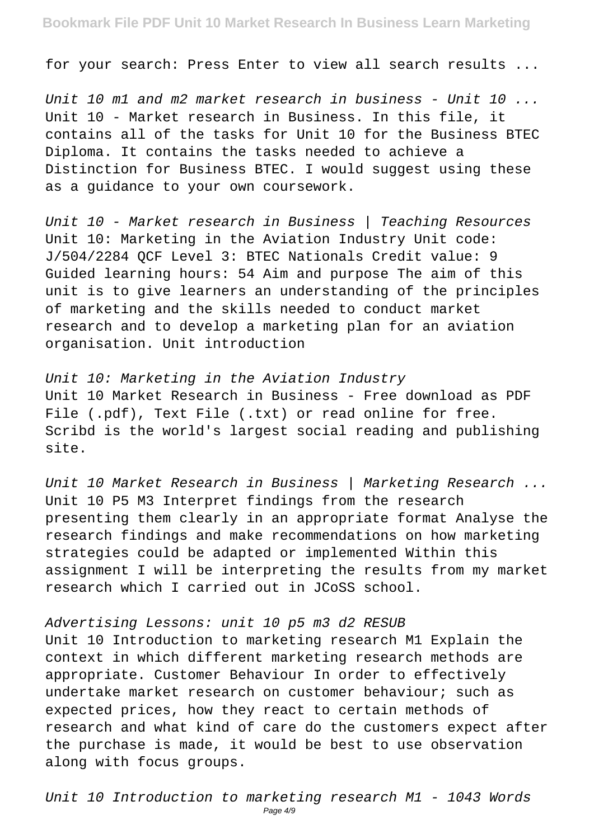for your search: Press Enter to view all search results ...

Unit 10 m1 and m2 market research in business - Unit 10 ... Unit 10 - Market research in Business. In this file, it contains all of the tasks for Unit 10 for the Business BTEC Diploma. It contains the tasks needed to achieve a Distinction for Business BTEC. I would suggest using these as a guidance to your own coursework.

Unit 10 - Market research in Business | Teaching Resources Unit 10: Marketing in the Aviation Industry Unit code: J/504/2284 QCF Level 3: BTEC Nationals Credit value: 9 Guided learning hours: 54 Aim and purpose The aim of this unit is to give learners an understanding of the principles of marketing and the skills needed to conduct market research and to develop a marketing plan for an aviation organisation. Unit introduction

Unit 10: Marketing in the Aviation Industry Unit 10 Market Research in Business - Free download as PDF File (.pdf), Text File (.txt) or read online for free. Scribd is the world's largest social reading and publishing site.

Unit 10 Market Research in Business | Marketing Research ... Unit 10 P5 M3 Interpret findings from the research presenting them clearly in an appropriate format Analyse the research findings and make recommendations on how marketing strategies could be adapted or implemented Within this assignment I will be interpreting the results from my market research which I carried out in JCoSS school.

## Advertising Lessons: unit 10 p5 m3 d2 RESUB

Unit 10 Introduction to marketing research M1 Explain the context in which different marketing research methods are appropriate. Customer Behaviour In order to effectively undertake market research on customer behaviour; such as expected prices, how they react to certain methods of research and what kind of care do the customers expect after the purchase is made, it would be best to use observation along with focus groups.

Unit 10 Introduction to marketing research M1 - 1043 Words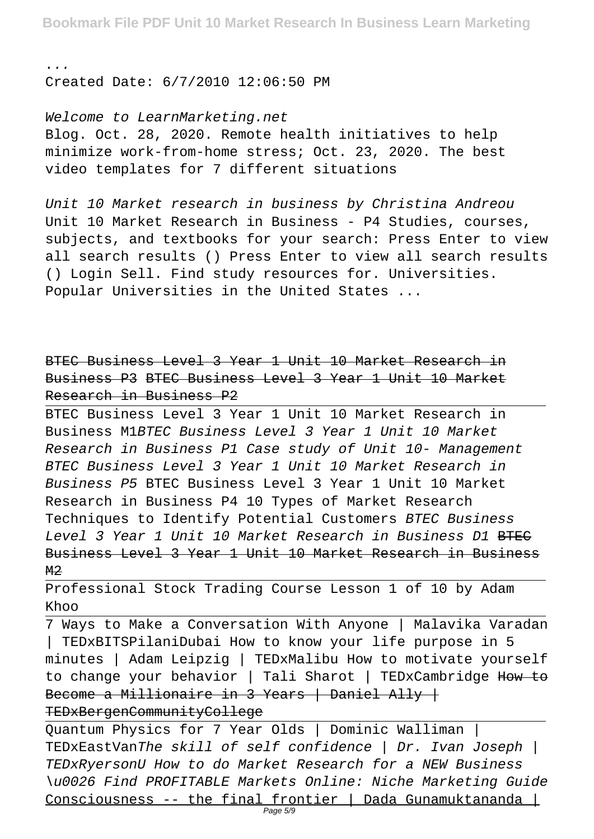... Created Date: 6/7/2010 12:06:50 PM

Welcome to LearnMarketing.net Blog. Oct. 28, 2020. Remote health initiatives to help minimize work-from-home stress; Oct. 23, 2020. The best video templates for 7 different situations

Unit 10 Market research in business by Christina Andreou Unit 10 Market Research in Business - P4 Studies, courses, subjects, and textbooks for your search: Press Enter to view all search results () Press Enter to view all search results () Login Sell. Find study resources for. Universities. Popular Universities in the United States ...

BTEC Business Level 3 Year 1 Unit 10 Market Research in Business P3 BTEC Business Level 3 Year 1 Unit 10 Market Research in Business P2

BTEC Business Level 3 Year 1 Unit 10 Market Research in Business M1BTEC Business Level 3 Year 1 Unit 10 Market Research in Business P1 Case study of Unit 10- Management BTEC Business Level 3 Year 1 Unit 10 Market Research in Business P5 BTEC Business Level 3 Year 1 Unit 10 Market Research in Business P4 10 Types of Market Research Techniques to Identify Potential Customers BTEC Business Level 3 Year 1 Unit 10 Market Research in Business D1 BTEC Business Level 3 Year 1 Unit 10 Market Research in Business  $M<sub>2</sub>$ 

Professional Stock Trading Course Lesson 1 of 10 by Adam Khoo

7 Ways to Make a Conversation With Anyone | Malavika Varadan TEDxBITSPilaniDubai How to know your life purpose in 5 minutes | Adam Leipzig | TEDxMalibu How to motivate yourself to change your behavior | Tali Sharot | TEDxCambridge How to Become a Millionaire in 3 Years | Daniel Ally | TEDxBergenCommunityCollege

Quantum Physics for 7 Year Olds | Dominic Walliman | TEDxEastVanThe skill of self confidence | Dr. Ivan Joseph | TEDxRyersonU How to do Market Research for a NEW Business \u0026 Find PROFITABLE Markets Online: Niche Marketing Guide Consciousness -- the final frontier | Dada Gunamuktananda |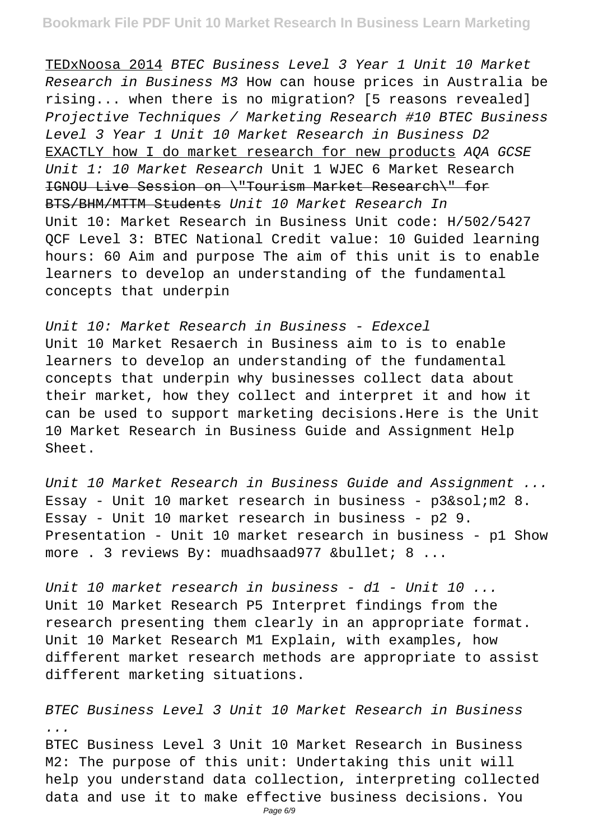TEDxNoosa 2014 BTEC Business Level 3 Year 1 Unit 10 Market Research in Business M3 How can house prices in Australia be rising... when there is no migration? [5 reasons revealed] Projective Techniques / Marketing Research #10 BTEC Business Level 3 Year 1 Unit 10 Market Research in Business D2 EXACTLY how I do market research for new products AQA GCSE Unit 1: 10 Market Research Unit 1 WJEC 6 Market Research IGNOU Live Session on \"Tourism Market Research\" for BTS/BHM/MTTM Students Unit 10 Market Research In Unit 10: Market Research in Business Unit code: H/502/5427 QCF Level 3: BTEC National Credit value: 10 Guided learning hours: 60 Aim and purpose The aim of this unit is to enable learners to develop an understanding of the fundamental concepts that underpin

Unit 10: Market Research in Business - Edexcel Unit 10 Market Resaerch in Business aim to is to enable learners to develop an understanding of the fundamental concepts that underpin why businesses collect data about their market, how they collect and interpret it and how it can be used to support marketing decisions.Here is the Unit 10 Market Research in Business Guide and Assignment Help Sheet.

Unit 10 Market Research in Business Guide and Assignment ... Essay - Unit 10 market research in business -  $p3/$  m2 8. Essay - Unit 10 market research in business - p2 9. Presentation - Unit 10 market research in business - p1 Show more . 3 reviews By: muadhsaad977 • 8 ...

Unit 10 market research in business - d1 - Unit 10 ... Unit 10 Market Research P5 Interpret findings from the research presenting them clearly in an appropriate format. Unit 10 Market Research M1 Explain, with examples, how different market research methods are appropriate to assist different marketing situations.

BTEC Business Level 3 Unit 10 Market Research in Business ... BTEC Business Level 3 Unit 10 Market Research in Business M2: The purpose of this unit: Undertaking this unit will help you understand data collection, interpreting collected data and use it to make effective business decisions. You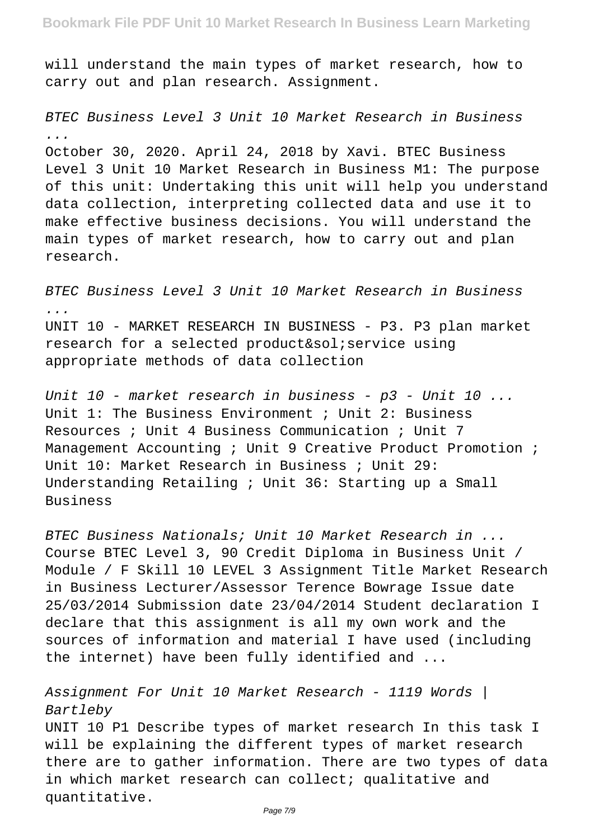will understand the main types of market research, how to carry out and plan research. Assignment.

BTEC Business Level 3 Unit 10 Market Research in Business ... October 30, 2020. April 24, 2018 by Xavi. BTEC Business

Level 3 Unit 10 Market Research in Business M1: The purpose of this unit: Undertaking this unit will help you understand data collection, interpreting collected data and use it to make effective business decisions. You will understand the main types of market research, how to carry out and plan research.

BTEC Business Level 3 Unit 10 Market Research in Business ... UNIT 10 - MARKET RESEARCH IN BUSINESS - P3. P3 plan market research for a selected product/ service using appropriate methods of data collection

Unit 10 - market research in business - p3 - Unit 10 ... Unit 1: The Business Environment ; Unit 2: Business Resources ; Unit 4 Business Communication ; Unit 7 Management Accounting ; Unit 9 Creative Product Promotion ; Unit 10: Market Research in Business ; Unit 29: Understanding Retailing ; Unit 36: Starting up a Small Business

BTEC Business Nationals; Unit 10 Market Research in ... Course BTEC Level 3, 90 Credit Diploma in Business Unit / Module / F Skill 10 LEVEL 3 Assignment Title Market Research in Business Lecturer/Assessor Terence Bowrage Issue date 25/03/2014 Submission date 23/04/2014 Student declaration I declare that this assignment is all my own work and the sources of information and material I have used (including the internet) have been fully identified and ...

Assignment For Unit 10 Market Research - 1119 Words | Bartleby

UNIT 10 P1 Describe types of market research In this task I will be explaining the different types of market research there are to gather information. There are two types of data in which market research can collect; qualitative and quantitative.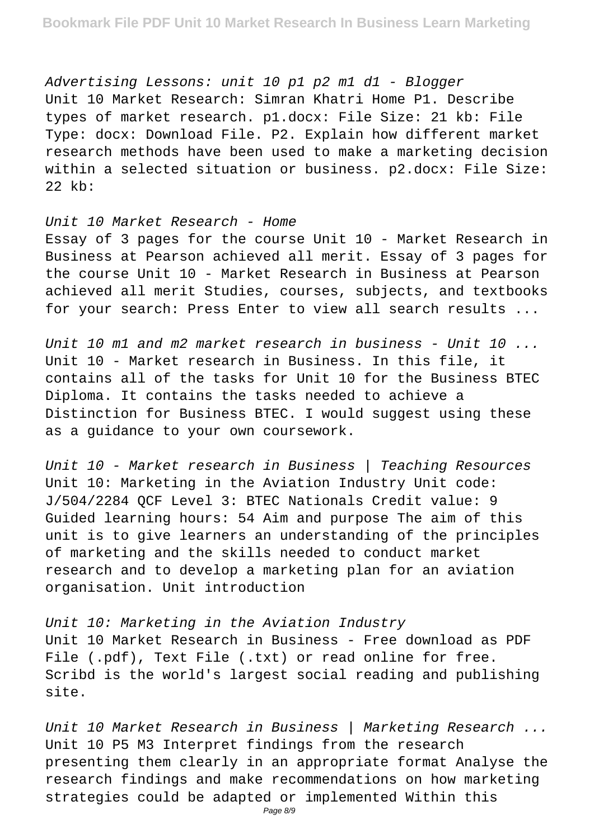Advertising Lessons: unit 10 p1 p2 m1 d1 - Blogger Unit 10 Market Research: Simran Khatri Home P1. Describe types of market research. p1.docx: File Size: 21 kb: File Type: docx: Download File. P2. Explain how different market research methods have been used to make a marketing decision within a selected situation or business. p2.docx: File Size: 22 kb:

Unit 10 Market Research - Home Essay of 3 pages for the course Unit 10 - Market Research in Business at Pearson achieved all merit. Essay of 3 pages for the course Unit 10 - Market Research in Business at Pearson achieved all merit Studies, courses, subjects, and textbooks for your search: Press Enter to view all search results ...

Unit 10 m1 and m2 market research in business - Unit 10 ... Unit 10 - Market research in Business. In this file, it contains all of the tasks for Unit 10 for the Business BTEC Diploma. It contains the tasks needed to achieve a Distinction for Business BTEC. I would suggest using these as a guidance to your own coursework.

Unit 10 - Market research in Business | Teaching Resources Unit 10: Marketing in the Aviation Industry Unit code: J/504/2284 QCF Level 3: BTEC Nationals Credit value: 9 Guided learning hours: 54 Aim and purpose The aim of this unit is to give learners an understanding of the principles of marketing and the skills needed to conduct market research and to develop a marketing plan for an aviation organisation. Unit introduction

Unit 10: Marketing in the Aviation Industry Unit 10 Market Research in Business - Free download as PDF File (.pdf), Text File (.txt) or read online for free. Scribd is the world's largest social reading and publishing site.

Unit 10 Market Research in Business | Marketing Research ... Unit 10 P5 M3 Interpret findings from the research presenting them clearly in an appropriate format Analyse the research findings and make recommendations on how marketing strategies could be adapted or implemented Within this